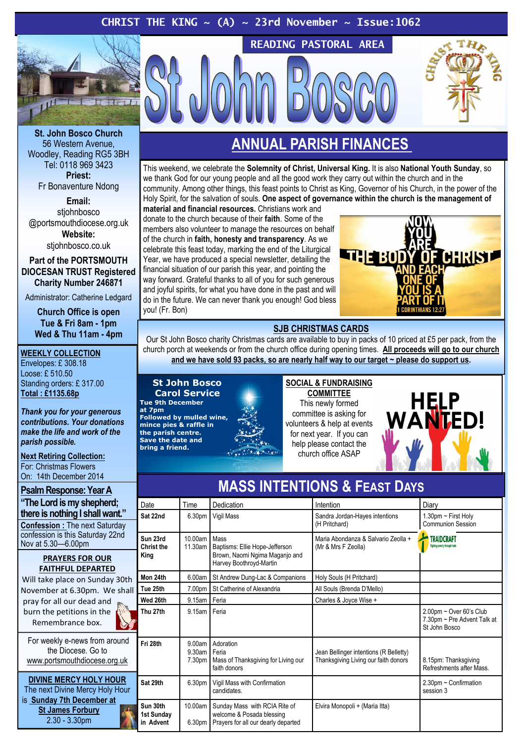# CHRIST THE KING  $\sim$  (A)  $\sim$  23rd November  $\sim$  Issue:1062



St. John Bosco Church 56 Western Avenue, Woodley, Reading RG5 3BH Tel: 0118 969 3423 Priest: Fr Bonaventure Ndong

Email: stiohnbosco @portsmouthdiocese.org.uk Website:

stjohnbosco.co.uk

Part of the PORTSMOUTH DIOCESAN TRUST Registered Charity Number 246871

Administrator: Catherine Ledgard

Church Office is open Tue & Fri 8am - 1pm Wed & Thu 11am - 4pm

#### WEEKLY COLLECTION

Envelopes: £ 308.18 Loose: £ 510.50 Standing orders: £ 317.00 Total : £1135.68p

Thank you for your generous contributions. Your donations make the life and work of the parish possible.

Next Retiring Collection: For: Christmas Flowers On: 14th December 2014

# Psalm Response: Year A

"The Lord is my shepherd; there is nothing I shall want." Confession : The next Saturday confession is this Saturday 22nd Nov at 5.30—6.00pm

#### PRAYERS FOR OUR FAITHFUL DEPARTED

Will take place on Sunday 30th November at 6.30pm. We shall pray for all our dead and burn the petitions in the Remembrance box.

For weekly e-news from around the Diocese. Go to www.portsmouthdiocese.org.uk

DIVINE MERCY HOLY HOUR The next Divine Mercy Holy Hour is Sunday 7th December at St James Forbury 2.30 - 3.30pm

# ANNUAL PARISH FINANCES

READING PASTORAL AREA

This weekend, we celebrate the Solemnity of Christ, Universal King. It is also National Youth Sunday, so we thank God for our young people and all the good work they carry out within the church and in the community. Among other things, this feast points to Christ as King, Governor of his Church, in the power of the Holy Spirit, for the salvation of souls. One aspect of governance within the church is the management of

material and financial resources. Christians work and donate to the church because of their faith. Some of the members also volunteer to manage the resources on behalf of the church in faith, honesty and transparency. As we celebrate this feast today, marking the end of the Liturgical Year, we have produced a special newsletter, detailing the financial situation of our parish this year, and pointing the way forward. Grateful thanks to all of you for such generous and joyful spirits, for what you have done in the past and will do in the future. We can never thank you enough! God bless you! (Fr. Bon)



## SJB CHRISTMAS CARDS

Our St John Bosco charity Christmas cards are available to buy in packs of 10 priced at £5 per pack, from the church porch at weekends or from the church office during opening times. All proceeds will go to our church and we have sold 93 packs, so are nearly half way to our target ~ please do support us.

#### St John Bosco Carol Service

Tue 9th December at 7pm Followed by mulled wine, mince pies & raffle in the parish centre. Save the date and bring a friend.

SOCIAL & FUNDRAISING **COMMITTEE** This newly formed committee is asking for volunteers & help at events for next year. If you can help please contact the church office ASAP



| Date                                | Time                          | Dedication                                                                                          | Intention                                                                      | Diary                                                                      |
|-------------------------------------|-------------------------------|-----------------------------------------------------------------------------------------------------|--------------------------------------------------------------------------------|----------------------------------------------------------------------------|
| Sat 22nd                            | 6.30 <sub>pm</sub>            | Vigil Mass                                                                                          | Sandra Jordan-Hayes intentions<br>(H Pritchard)                                | 1.30pm $\sim$ First Holy<br>Communion Session                              |
| Sun 23rd<br>Christ the<br>King      | $10,00$ am<br>11.30am         | Mass<br>Baptisms: Ellie Hope-Jefferson<br>Brown, Naomi Ngima Maganjo and<br>Harvey Boothroyd-Martin | Maria Abondanza & Salvario Zeolla +<br>(Mr & Mrs F Zeolla)                     | TRAIDCRAFT<br>Fighting poverty through trad-                               |
| Mon 24th                            | 6.00am                        | St Andrew Dung-Lac & Companions                                                                     | Holy Souls (H Pritchard)                                                       |                                                                            |
| Tue 25th                            | 7.00pm                        | St Catherine of Alexandria                                                                          | All Souls (Brenda D'Mello)                                                     |                                                                            |
| Wed 26th                            | 9.15am                        | Feria                                                                                               | Charles & Joyce Wise +                                                         |                                                                            |
| Thu 27th                            | 9.15am                        | Feria                                                                                               |                                                                                | $2.00$ pm ~ Over 60's Club<br>7.30pm ~ Pre Advent Talk at<br>St John Bosco |
| Fri 28th                            | 9.00am<br>$9.30$ am<br>7.30pm | Adoration<br>Feria<br>Mass of Thanksgiving for Living our<br>faith donors                           | Jean Bellinger intentions (R Belletty)<br>Thanksgiving Living our faith donors | 8.15pm: Thanksgiving<br>Refreshments after Mass.                           |
| Sat 29th                            | 6.30 <sub>pm</sub>            | Vigil Mass with Confirmation<br>candidates.                                                         |                                                                                | $2.30$ pm ~ Confirmation<br>session 3                                      |
| Sun 30th<br>1st Sunday<br>in Advent | 10.00am<br>6.30 <sub>pm</sub> | Sunday Mass with RCIA Rite of<br>welcome & Posada blessing<br>Prayers for all our dearly departed   | Elvira Monopoli + (Maria Itta)                                                 |                                                                            |

# MASS INTENTIONS & FEAST DAYS